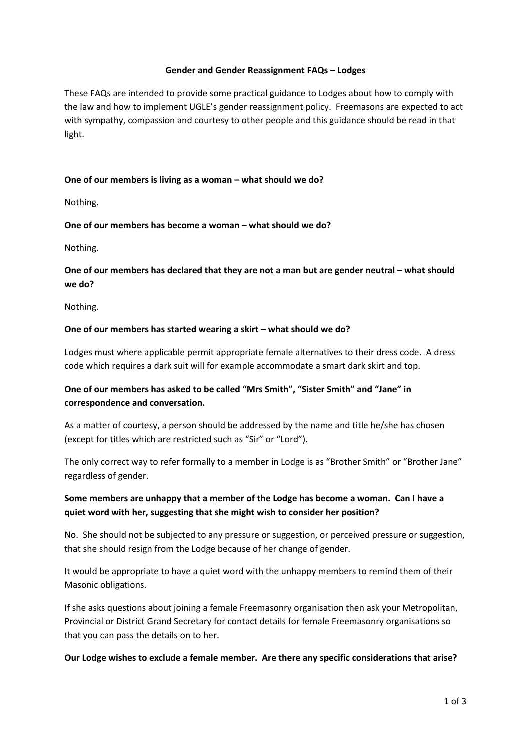### **Gender and Gender Reassignment FAQs – Lodges**

These FAQs are intended to provide some practical guidance to Lodges about how to comply with the law and how to implement UGLE's gender reassignment policy. Freemasons are expected to act with sympathy, compassion and courtesy to other people and this guidance should be read in that light.

## **One of our members is living as a woman – what should we do?**

Nothing.

### **One of our members has become a woman – what should we do?**

Nothing.

## **One of our members has declared that they are not a man but are gender neutral – what should we do?**

Nothing.

### One of our members has started wearing a skirt – what should we do?

Lodges must where applicable permit appropriate female alternatives to their dress code. A dress code which requires a dark suit will for example accommodate a smart dark skirt and top.

# **One of our members has asked to be called "Mrs Smith", "Sister Smith" and "Jane" in correspondence and conversation.**

As a matter of courtesy, a person should be addressed by the name and title he/she has chosen (except for titles which are restricted such as "Sir" or "Lord").

The only correct way to refer formally to a member in Lodge is as "Brother Smith" or "Brother Jane" regardless of gender.

# **Some members are unhappy that a member of the Lodge has become a woman. Can I have a quiet word with her, suggesting that she might wish to consider her position?**

No. She should not be subjected to any pressure or suggestion, or perceived pressure or suggestion, that she should resign from the Lodge because of her change of gender.

It would be appropriate to have a quiet word with the unhappy members to remind them of their Masonic obligations.

If she asks questions about joining a female Freemasonry organisation then ask your Metropolitan, Provincial or District Grand Secretary for contact details for female Freemasonry organisations so that you can pass the details on to her.

#### **Our Lodge wishes to exclude a female member. Are there any specific considerations that arise?**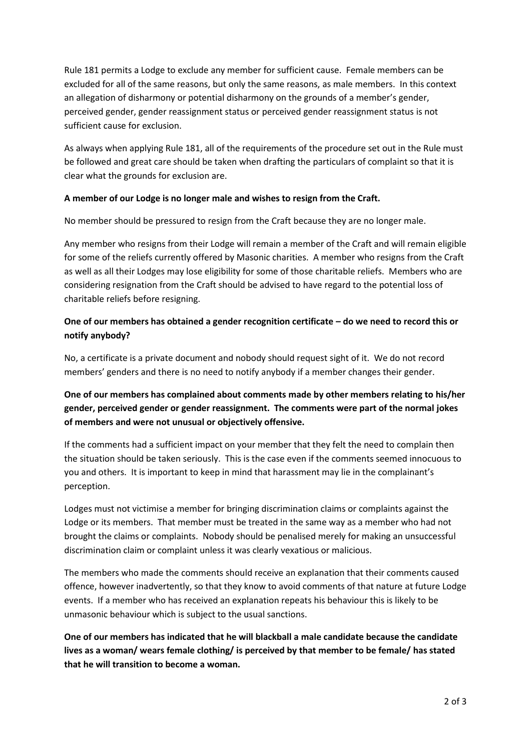Rule 181 permits a Lodge to exclude any member for sufficient cause. Female members can be excluded for all of the same reasons, but only the same reasons, as male members. In this context an allegation of disharmony or potential disharmony on the grounds of a member's gender, perceived gender, gender reassignment status or perceived gender reassignment status is not sufficient cause for exclusion.

As always when applying Rule 181, all of the requirements of the procedure set out in the Rule must be followed and great care should be taken when drafting the particulars of complaint so that it is clear what the grounds for exclusion are.

## **A member of our Lodge is no longer male and wishes to resign from the Craft.**

No member should be pressured to resign from the Craft because they are no longer male.

Any member who resigns from their Lodge will remain a member of the Craft and will remain eligible for some of the reliefs currently offered by Masonic charities. A member who resigns from the Craft as well as all their Lodges may lose eligibility for some of those charitable reliefs. Members who are considering resignation from the Craft should be advised to have regard to the potential loss of charitable reliefs before resigning.

# **One of our members has obtained a gender recognition certificate – do we need to record this or notify anybody?**

No, a certificate is a private document and nobody should request sight of it. We do not record members' genders and there is no need to notify anybody if a member changes their gender.

# **One of our members has complained about comments made by other members relating to his/her gender, perceived gender or gender reassignment. The comments were part of the normal jokes of members and were not unusual or objectively offensive.**

If the comments had a sufficient impact on your member that they felt the need to complain then the situation should be taken seriously. This is the case even if the comments seemed innocuous to you and others. It is important to keep in mind that harassment may lie in the complainant's perception.

Lodges must not victimise a member for bringing discrimination claims or complaints against the Lodge or its members. That member must be treated in the same way as a member who had not brought the claims or complaints. Nobody should be penalised merely for making an unsuccessful discrimination claim or complaint unless it was clearly vexatious or malicious.

The members who made the comments should receive an explanation that their comments caused offence, however inadvertently, so that they know to avoid comments of that nature at future Lodge events. If a member who has received an explanation repeats his behaviour this is likely to be unmasonic behaviour which is subject to the usual sanctions.

**One of our members has indicated that he will blackball a male candidate because the candidate lives as a woman/ wears female clothing/ is perceived by that member to be female/ has stated that he will transition to become a woman.**